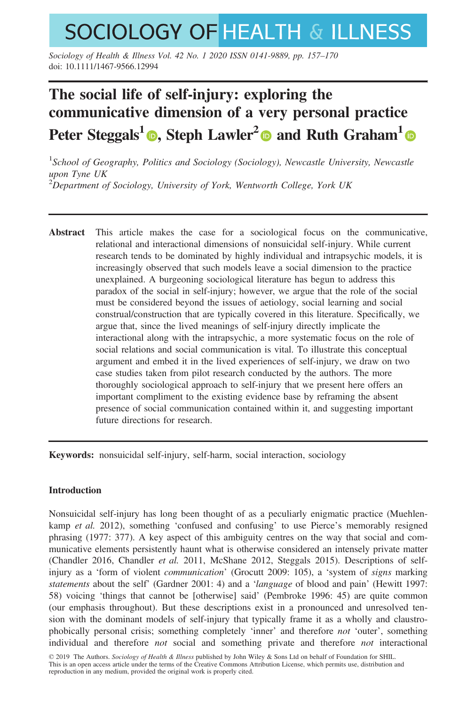# **SOCIOLOGY OF HEALTH & ILLNESS**

Sociology of Health & Illness Vol. 42 No. 1 2020 ISSN 0141-9889, pp. 157–170 doi: 10.1111/1467-9566.12994

# The social life of self-injury: exploring the communicative dimension of a very personal practice Peter Steggals<sup>[1](https://orcid.org/0000-0001-9432-760X)</sup> **.** Steph Lawler<sup>[2](https://orcid.org/0000-0001-8684-9352)</sup> and Ruth Graham<sup>1</sup>

<sup>1</sup>School of Geography, Politics and Sociology (Sociology), Newcastle University, Newcastle upon Tyne UK  $^{2}$ Department of Sociology, University of York, Wentworth College, York UK

Abstract This article makes the case for a sociological focus on the communicative, relational and interactional dimensions of nonsuicidal self-injury. While current research tends to be dominated by highly individual and intrapsychic models, it is increasingly observed that such models leave a social dimension to the practice unexplained. A burgeoning sociological literature has begun to address this paradox of the social in self-injury; however, we argue that the role of the social must be considered beyond the issues of aetiology, social learning and social construal/construction that are typically covered in this literature. Specifically, we argue that, since the lived meanings of self-injury directly implicate the interactional along with the intrapsychic, a more systematic focus on the role of social relations and social communication is vital. To illustrate this conceptual argument and embed it in the lived experiences of self-injury, we draw on two case studies taken from pilot research conducted by the authors. The more thoroughly sociological approach to self-injury that we present here offers an important compliment to the existing evidence base by reframing the absent presence of social communication contained within it, and suggesting important future directions for research.

Keywords: nonsuicidal self-injury, self-harm, social interaction, sociology

# Introduction

Nonsuicidal self-injury has long been thought of as a peculiarly enigmatic practice (Muehlenkamp et al. 2012), something 'confused and confusing' to use Pierce's memorably resigned phrasing (1977: 377). A key aspect of this ambiguity centres on the way that social and communicative elements persistently haunt what is otherwise considered an intensely private matter (Chandler 2016, Chandler et al. 2011, McShane 2012, Steggals 2015). Descriptions of selfinjury as a 'form of violent *communication*' (Grocutt 2009: 105), a 'system of *signs* marking statements about the self' (Gardner 2001: 4) and a 'language of blood and pain' (Hewitt 1997: 58) voicing 'things that cannot be [otherwise] said' (Pembroke 1996: 45) are quite common (our emphasis throughout). But these descriptions exist in a pronounced and unresolved tension with the dominant models of self-injury that typically frame it as a wholly and claustrophobically personal crisis; something completely 'inner' and therefore *not* 'outer', something individual and therefore not social and something private and therefore not interactional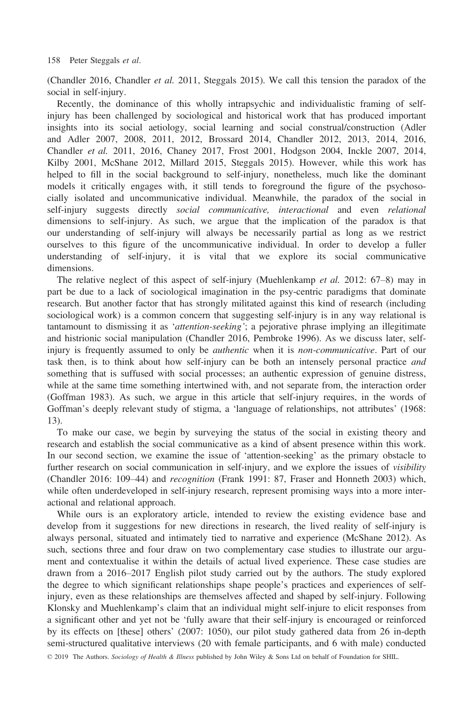(Chandler 2016, Chandler et al. 2011, Steggals 2015). We call this tension the paradox of the social in self-injury.

Recently, the dominance of this wholly intrapsychic and individualistic framing of selfinjury has been challenged by sociological and historical work that has produced important insights into its social aetiology, social learning and social construal/construction (Adler and Adler 2007, 2008, 2011, 2012, Brossard 2014, Chandler 2012, 2013, 2014, 2016, Chandler et al. 2011, 2016, Chaney 2017, Frost 2001, Hodgson 2004, Inckle 2007, 2014, Kilby 2001, McShane 2012, Millard 2015, Steggals 2015). However, while this work has helped to fill in the social background to self-injury, nonetheless, much like the dominant models it critically engages with, it still tends to foreground the figure of the psychosocially isolated and uncommunicative individual. Meanwhile, the paradox of the social in self-injury suggests directly social communicative, interactional and even relational dimensions to self-injury. As such, we argue that the implication of the paradox is that our understanding of self-injury will always be necessarily partial as long as we restrict ourselves to this figure of the uncommunicative individual. In order to develop a fuller understanding of self-injury, it is vital that we explore its social communicative dimensions.

The relative neglect of this aspect of self-injury (Muehlenkamp *et al.* 2012: 67–8) may in part be due to a lack of sociological imagination in the psy-centric paradigms that dominate research. But another factor that has strongly militated against this kind of research (including sociological work) is a common concern that suggesting self-injury is in any way relational is tantamount to dismissing it as 'attention-seeking'; a pejorative phrase implying an illegitimate and histrionic social manipulation (Chandler 2016, Pembroke 1996). As we discuss later, selfinjury is frequently assumed to only be *authentic* when it is *non-communicative*. Part of our task then, is to think about how self-injury can be both an intensely personal practice and something that is suffused with social processes; an authentic expression of genuine distress, while at the same time something intertwined with, and not separate from, the interaction order (Goffman 1983). As such, we argue in this article that self-injury requires, in the words of Goffman's deeply relevant study of stigma, a 'language of relationships, not attributes' (1968: 13).

To make our case, we begin by surveying the status of the social in existing theory and research and establish the social communicative as a kind of absent presence within this work. In our second section, we examine the issue of 'attention-seeking' as the primary obstacle to further research on social communication in self-injury, and we explore the issues of *visibility* (Chandler 2016: 109–44) and recognition (Frank 1991: 87, Fraser and Honneth 2003) which, while often underdeveloped in self-injury research, represent promising ways into a more interactional and relational approach.

While ours is an exploratory article, intended to review the existing evidence base and develop from it suggestions for new directions in research, the lived reality of self-injury is always personal, situated and intimately tied to narrative and experience (McShane 2012). As such, sections three and four draw on two complementary case studies to illustrate our argument and contextualise it within the details of actual lived experience. These case studies are drawn from a 2016–2017 English pilot study carried out by the authors. The study explored the degree to which significant relationships shape people's practices and experiences of selfinjury, even as these relationships are themselves affected and shaped by self-injury. Following Klonsky and Muehlenkamp's claim that an individual might self-injure to elicit responses from a significant other and yet not be 'fully aware that their self-injury is encouraged or reinforced by its effects on [these] others' (2007: 1050), our pilot study gathered data from 26 in-depth semi-structured qualitative interviews (20 with female participants, and 6 with male) conducted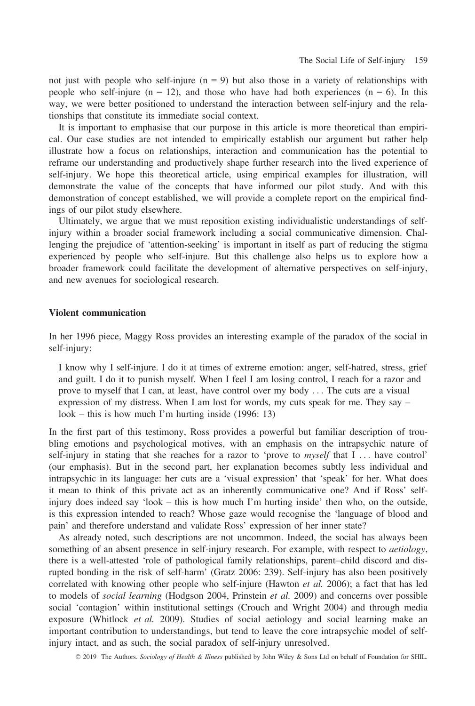not just with people who self-injure  $(n = 9)$  but also those in a variety of relationships with people who self-injure  $(n = 12)$ , and those who have had both experiences  $(n = 6)$ . In this way, we were better positioned to understand the interaction between self-injury and the relationships that constitute its immediate social context.

It is important to emphasise that our purpose in this article is more theoretical than empirical. Our case studies are not intended to empirically establish our argument but rather help illustrate how a focus on relationships, interaction and communication has the potential to reframe our understanding and productively shape further research into the lived experience of self-injury. We hope this theoretical article, using empirical examples for illustration, will demonstrate the value of the concepts that have informed our pilot study. And with this demonstration of concept established, we will provide a complete report on the empirical findings of our pilot study elsewhere.

Ultimately, we argue that we must reposition existing individualistic understandings of selfinjury within a broader social framework including a social communicative dimension. Challenging the prejudice of 'attention-seeking' is important in itself as part of reducing the stigma experienced by people who self-injure. But this challenge also helps us to explore how a broader framework could facilitate the development of alternative perspectives on self-injury, and new avenues for sociological research.

#### Violent communication

In her 1996 piece, Maggy Ross provides an interesting example of the paradox of the social in self-injury:

I know why I self-injure. I do it at times of extreme emotion: anger, self-hatred, stress, grief and guilt. I do it to punish myself. When I feel I am losing control, I reach for a razor and prove to myself that I can, at least, have control over my body ... The cuts are a visual expression of my distress. When I am lost for words, my cuts speak for me. They say – look – this is how much I'm hurting inside  $(1996: 13)$ 

In the first part of this testimony, Ross provides a powerful but familiar description of troubling emotions and psychological motives, with an emphasis on the intrapsychic nature of self-injury in stating that she reaches for a razor to 'prove to myself that I ... have control' (our emphasis). But in the second part, her explanation becomes subtly less individual and intrapsychic in its language: her cuts are a 'visual expression' that 'speak' for her. What does it mean to think of this private act as an inherently communicative one? And if Ross' selfinjury does indeed say 'look – this is how much I'm hurting inside' then who, on the outside, is this expression intended to reach? Whose gaze would recognise the 'language of blood and pain' and therefore understand and validate Ross' expression of her inner state?

As already noted, such descriptions are not uncommon. Indeed, the social has always been something of an absent presence in self-injury research. For example, with respect to *aetiology*, there is a well-attested 'role of pathological family relationships, parent–child discord and disrupted bonding in the risk of self-harm' (Gratz 2006: 239). Self-injury has also been positively correlated with knowing other people who self-injure (Hawton *et al.* 2006); a fact that has led to models of *social learning* (Hodgson 2004, Prinstein et al. 2009) and concerns over possible social 'contagion' within institutional settings (Crouch and Wright 2004) and through media exposure (Whitlock *et al.* 2009). Studies of social aetiology and social learning make an important contribution to understandings, but tend to leave the core intrapsychic model of selfinjury intact, and as such, the social paradox of self-injury unresolved.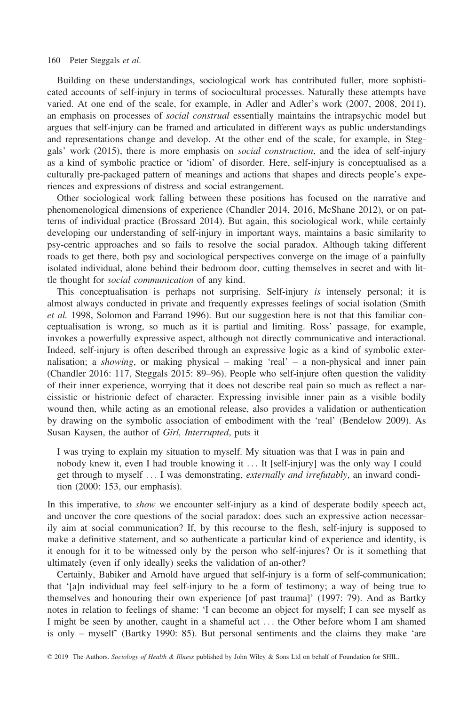Building on these understandings, sociological work has contributed fuller, more sophisticated accounts of self-injury in terms of sociocultural processes. Naturally these attempts have varied. At one end of the scale, for example, in Adler and Adler's work (2007, 2008, 2011), an emphasis on processes of *social construal* essentially maintains the intrapsychic model but argues that self-injury can be framed and articulated in different ways as public understandings and representations change and develop. At the other end of the scale, for example, in Steggals' work (2015), there is more emphasis on *social construction*, and the idea of self-injury as a kind of symbolic practice or 'idiom' of disorder. Here, self-injury is conceptualised as a culturally pre-packaged pattern of meanings and actions that shapes and directs people's experiences and expressions of distress and social estrangement.

Other sociological work falling between these positions has focused on the narrative and phenomenological dimensions of experience (Chandler 2014, 2016, McShane 2012), or on patterns of individual practice (Brossard 2014). But again, this sociological work, while certainly developing our understanding of self-injury in important ways, maintains a basic similarity to psy-centric approaches and so fails to resolve the social paradox. Although taking different roads to get there, both psy and sociological perspectives converge on the image of a painfully isolated individual, alone behind their bedroom door, cutting themselves in secret and with little thought for social communication of any kind.

This conceptualisation is perhaps not surprising. Self-injury is intensely personal; it is almost always conducted in private and frequently expresses feelings of social isolation (Smith et al. 1998, Solomon and Farrand 1996). But our suggestion here is not that this familiar conceptualisation is wrong, so much as it is partial and limiting. Ross' passage, for example, invokes a powerfully expressive aspect, although not directly communicative and interactional. Indeed, self-injury is often described through an expressive logic as a kind of symbolic externalisation; a showing, or making physical – making 'real' – a non-physical and inner pain (Chandler 2016: 117, Steggals 2015: 89–96). People who self-injure often question the validity of their inner experience, worrying that it does not describe real pain so much as reflect a narcissistic or histrionic defect of character. Expressing invisible inner pain as a visible bodily wound then, while acting as an emotional release, also provides a validation or authentication by drawing on the symbolic association of embodiment with the 'real' (Bendelow 2009). As Susan Kaysen, the author of Girl, Interrupted, puts it

I was trying to explain my situation to myself. My situation was that I was in pain and nobody knew it, even I had trouble knowing it ... It [self-injury] was the only way I could get through to myself ... I was demonstrating, externally and irrefutably, an inward condition (2000: 153, our emphasis).

In this imperative, to *show* we encounter self-injury as a kind of desperate bodily speech act, and uncover the core questions of the social paradox: does such an expressive action necessarily aim at social communication? If, by this recourse to the flesh, self-injury is supposed to make a definitive statement, and so authenticate a particular kind of experience and identity, is it enough for it to be witnessed only by the person who self-injures? Or is it something that ultimately (even if only ideally) seeks the validation of an-other?

Certainly, Babiker and Arnold have argued that self-injury is a form of self-communication; that '[a]n individual may feel self-injury to be a form of testimony; a way of being true to themselves and honouring their own experience [of past trauma]' (1997: 79). And as Bartky notes in relation to feelings of shame: 'I can become an object for myself; I can see myself as I might be seen by another, caught in a shameful act ... the Other before whom I am shamed is only – myself' (Bartky 1990: 85). But personal sentiments and the claims they make 'are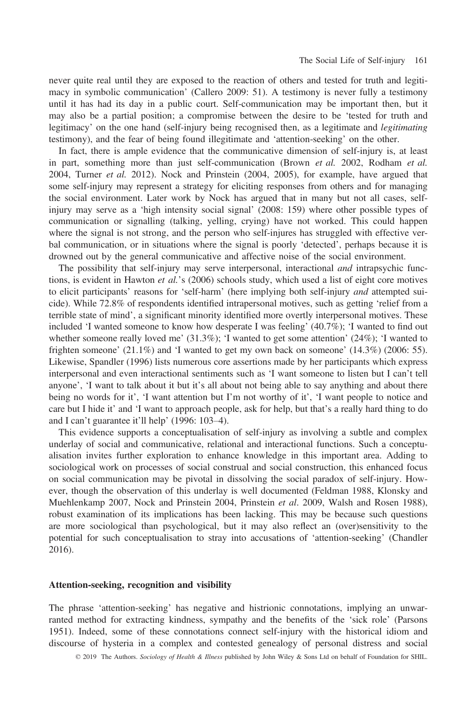never quite real until they are exposed to the reaction of others and tested for truth and legitimacy in symbolic communication' (Callero 2009: 51). A testimony is never fully a testimony until it has had its day in a public court. Self-communication may be important then, but it may also be a partial position; a compromise between the desire to be 'tested for truth and legitimacy' on the one hand (self-injury being recognised then, as a legitimate and legitimating testimony), and the fear of being found illegitimate and 'attention-seeking' on the other.

In fact, there is ample evidence that the communicative dimension of self-injury is, at least in part, something more than just self-communication (Brown et al. 2002, Rodham et al. 2004, Turner et al. 2012). Nock and Prinstein (2004, 2005), for example, have argued that some self-injury may represent a strategy for eliciting responses from others and for managing the social environment. Later work by Nock has argued that in many but not all cases, selfinjury may serve as a 'high intensity social signal' (2008: 159) where other possible types of communication or signalling (talking, yelling, crying) have not worked. This could happen where the signal is not strong, and the person who self-injures has struggled with effective verbal communication, or in situations where the signal is poorly 'detected', perhaps because it is drowned out by the general communicative and affective noise of the social environment.

The possibility that self-injury may serve interpersonal, interactional *and* intrapsychic functions, is evident in Hawton *et al.*'s (2006) schools study, which used a list of eight core motives to elicit participants' reasons for 'self-harm' (here implying both self-injury and attempted suicide). While 72.8% of respondents identified intrapersonal motives, such as getting 'relief from a terrible state of mind', a significant minority identified more overtly interpersonal motives. These included 'I wanted someone to know how desperate I was feeling' (40.7%); 'I wanted to find out whether someone really loved me' (31.3%); 'I wanted to get some attention' (24%); 'I wanted to frighten someone'  $(21.1\%)$  and 'I wanted to get my own back on someone'  $(14.3\%)$   $(2006: 55)$ . Likewise, Spandler (1996) lists numerous core assertions made by her participants which express interpersonal and even interactional sentiments such as 'I want someone to listen but I can't tell anyone', 'I want to talk about it but it's all about not being able to say anything and about there being no words for it', 'I want attention but I'm not worthy of it', 'I want people to notice and care but I hide it' and 'I want to approach people, ask for help, but that's a really hard thing to do and I can't guarantee it'll help' (1996: 103–4).

This evidence supports a conceptualisation of self-injury as involving a subtle and complex underlay of social and communicative, relational and interactional functions. Such a conceptualisation invites further exploration to enhance knowledge in this important area. Adding to sociological work on processes of social construal and social construction, this enhanced focus on social communication may be pivotal in dissolving the social paradox of self-injury. However, though the observation of this underlay is well documented (Feldman 1988, Klonsky and Muehlenkamp 2007, Nock and Prinstein 2004, Prinstein et al. 2009, Walsh and Rosen 1988), robust examination of its implications has been lacking. This may be because such questions are more sociological than psychological, but it may also reflect an (over)sensitivity to the potential for such conceptualisation to stray into accusations of 'attention-seeking' (Chandler 2016).

# Attention-seeking, recognition and visibility

The phrase 'attention-seeking' has negative and histrionic connotations, implying an unwarranted method for extracting kindness, sympathy and the benefits of the 'sick role' (Parsons 1951). Indeed, some of these connotations connect self-injury with the historical idiom and discourse of hysteria in a complex and contested genealogy of personal distress and social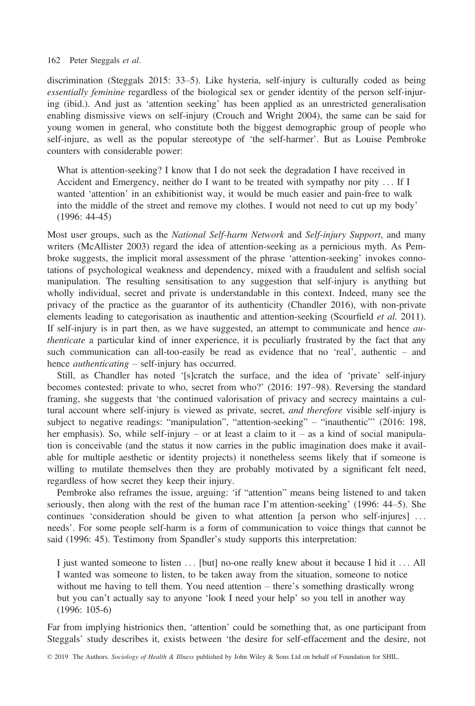discrimination (Steggals 2015: 33–5). Like hysteria, self-injury is culturally coded as being essentially feminine regardless of the biological sex or gender identity of the person self-injuring (ibid.). And just as 'attention seeking' has been applied as an unrestricted generalisation enabling dismissive views on self-injury (Crouch and Wright 2004), the same can be said for young women in general, who constitute both the biggest demographic group of people who self-injure, as well as the popular stereotype of 'the self-harmer'. But as Louise Pembroke counters with considerable power:

What is attention-seeking? I know that I do not seek the degradation I have received in Accident and Emergency, neither do I want to be treated with sympathy nor pity ... If I wanted 'attention' in an exhibitionist way, it would be much easier and pain-free to walk into the middle of the street and remove my clothes. I would not need to cut up my body' (1996: 44-45)

Most user groups, such as the *National Self-harm Network* and *Self-injury Support*, and many writers (McAllister 2003) regard the idea of attention-seeking as a pernicious myth. As Pembroke suggests, the implicit moral assessment of the phrase 'attention-seeking' invokes connotations of psychological weakness and dependency, mixed with a fraudulent and selfish social manipulation. The resulting sensitisation to any suggestion that self-injury is anything but wholly individual, secret and private is understandable in this context. Indeed, many see the privacy of the practice as the guarantor of its authenticity (Chandler 2016), with non-private elements leading to categorisation as inauthentic and attention-seeking (Scourfield *et al.* 2011). If self-injury is in part then, as we have suggested, an attempt to communicate and hence *au*thenticate a particular kind of inner experience, it is peculiarly frustrated by the fact that any such communication can all-too-easily be read as evidence that no 'real', authentic – and hence *authenticating* – self-injury has occurred.

Still, as Chandler has noted '[s]cratch the surface, and the idea of 'private' self-injury becomes contested: private to who, secret from who?' (2016: 197–98). Reversing the standard framing, she suggests that 'the continued valorisation of privacy and secrecy maintains a cultural account where self-injury is viewed as private, secret, and therefore visible self-injury is subject to negative readings: "manipulation", "attention-seeking" – "inauthentic"' (2016: 198, her emphasis). So, while self-injury – or at least a claim to it – as a kind of social manipulation is conceivable (and the status it now carries in the public imagination does make it available for multiple aesthetic or identity projects) it nonetheless seems likely that if someone is willing to mutilate themselves then they are probably motivated by a significant felt need, regardless of how secret they keep their injury.

Pembroke also reframes the issue, arguing: 'if "attention" means being listened to and taken seriously, then along with the rest of the human race I'm attention-seeking' (1996: 44–5). She continues 'consideration should be given to what attention [a person who self-injures] ... needs'. For some people self-harm is a form of communication to voice things that cannot be said (1996: 45). Testimony from Spandler's study supports this interpretation:

I just wanted someone to listen ... [but] no-one really knew about it because I hid it ... All I wanted was someone to listen, to be taken away from the situation, someone to notice without me having to tell them. You need attention – there's something drastically wrong but you can't actually say to anyone 'look I need your help' so you tell in another way (1996: 105-6)

Far from implying histrionics then, 'attention' could be something that, as one participant from Steggals' study describes it, exists between 'the desire for self-effacement and the desire, not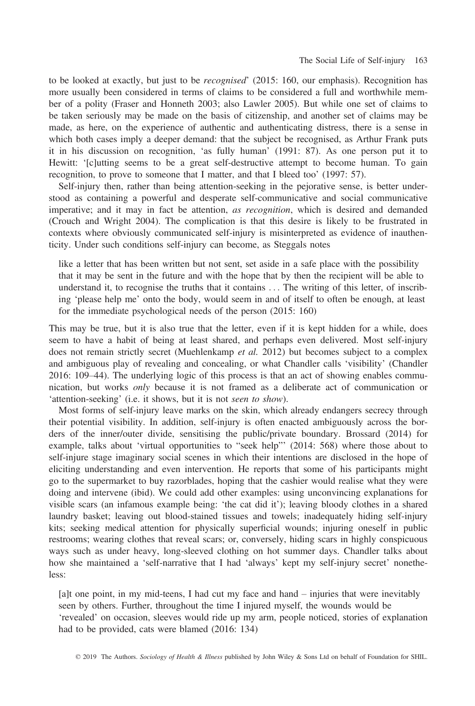to be looked at exactly, but just to be recognised' (2015: 160, our emphasis). Recognition has more usually been considered in terms of claims to be considered a full and worthwhile member of a polity (Fraser and Honneth 2003; also Lawler 2005). But while one set of claims to be taken seriously may be made on the basis of citizenship, and another set of claims may be made, as here, on the experience of authentic and authenticating distress, there is a sense in which both cases imply a deeper demand: that the subject be recognised, as Arthur Frank puts it in his discussion on recognition, 'as fully human' (1991: 87). As one person put it to Hewitt: '[c]utting seems to be a great self-destructive attempt to become human. To gain recognition, to prove to someone that I matter, and that I bleed too' (1997: 57).

Self-injury then, rather than being attention-seeking in the pejorative sense, is better understood as containing a powerful and desperate self-communicative and social communicative imperative; and it may in fact be attention, as recognition, which is desired and demanded (Crouch and Wright 2004). The complication is that this desire is likely to be frustrated in contexts where obviously communicated self-injury is misinterpreted as evidence of inauthenticity. Under such conditions self-injury can become, as Steggals notes

like a letter that has been written but not sent, set aside in a safe place with the possibility that it may be sent in the future and with the hope that by then the recipient will be able to understand it, to recognise the truths that it contains ... The writing of this letter, of inscribing 'please help me' onto the body, would seem in and of itself to often be enough, at least for the immediate psychological needs of the person (2015: 160)

This may be true, but it is also true that the letter, even if it is kept hidden for a while, does seem to have a habit of being at least shared, and perhaps even delivered. Most self-injury does not remain strictly secret (Muehlenkamp et al. 2012) but becomes subject to a complex and ambiguous play of revealing and concealing, or what Chandler calls 'visibility' (Chandler 2016: 109–44). The underlying logic of this process is that an act of showing enables communication, but works only because it is not framed as a deliberate act of communication or 'attention-seeking' (i.e. it shows, but it is not seen to show).

Most forms of self-injury leave marks on the skin, which already endangers secrecy through their potential visibility. In addition, self-injury is often enacted ambiguously across the borders of the inner/outer divide, sensitising the public/private boundary. Brossard (2014) for example, talks about 'virtual opportunities to "seek help"' (2014: 568) where those about to self-injure stage imaginary social scenes in which their intentions are disclosed in the hope of eliciting understanding and even intervention. He reports that some of his participants might go to the supermarket to buy razorblades, hoping that the cashier would realise what they were doing and intervene (ibid). We could add other examples: using unconvincing explanations for visible scars (an infamous example being: 'the cat did it'); leaving bloody clothes in a shared laundry basket; leaving out blood-stained tissues and towels; inadequately hiding self-injury kits; seeking medical attention for physically superficial wounds; injuring oneself in public restrooms; wearing clothes that reveal scars; or, conversely, hiding scars in highly conspicuous ways such as under heavy, long-sleeved clothing on hot summer days. Chandler talks about how she maintained a 'self-narrative that I had 'always' kept my self-injury secret' nonetheless:

[a]t one point, in my mid-teens, I had cut my face and hand – injuries that were inevitably seen by others. Further, throughout the time I injured myself, the wounds would be 'revealed' on occasion, sleeves would ride up my arm, people noticed, stories of explanation had to be provided, cats were blamed (2016: 134)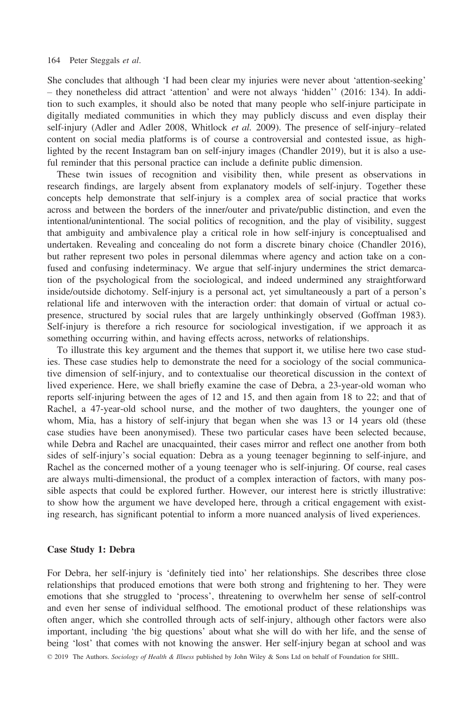She concludes that although 'I had been clear my injuries were never about 'attention-seeking' – they nonetheless did attract 'attention' and were not always 'hidden'' (2016: 134). In addition to such examples, it should also be noted that many people who self-injure participate in digitally mediated communities in which they may publicly discuss and even display their self-injury (Adler and Adler 2008, Whitlock et al. 2009). The presence of self-injury–related content on social media platforms is of course a controversial and contested issue, as highlighted by the recent Instagram ban on self-injury images (Chandler 2019), but it is also a useful reminder that this personal practice can include a definite public dimension.

These twin issues of recognition and visibility then, while present as observations in research findings, are largely absent from explanatory models of self-injury. Together these concepts help demonstrate that self-injury is a complex area of social practice that works across and between the borders of the inner/outer and private/public distinction, and even the intentional/unintentional. The social politics of recognition, and the play of visibility, suggest that ambiguity and ambivalence play a critical role in how self-injury is conceptualised and undertaken. Revealing and concealing do not form a discrete binary choice (Chandler 2016), but rather represent two poles in personal dilemmas where agency and action take on a confused and confusing indeterminacy. We argue that self-injury undermines the strict demarcation of the psychological from the sociological, and indeed undermined any straightforward inside/outside dichotomy. Self-injury is a personal act, yet simultaneously a part of a person's relational life and interwoven with the interaction order: that domain of virtual or actual copresence, structured by social rules that are largely unthinkingly observed (Goffman 1983). Self-injury is therefore a rich resource for sociological investigation, if we approach it as something occurring within, and having effects across, networks of relationships.

To illustrate this key argument and the themes that support it, we utilise here two case studies. These case studies help to demonstrate the need for a sociology of the social communicative dimension of self-injury, and to contextualise our theoretical discussion in the context of lived experience. Here, we shall briefly examine the case of Debra, a 23-year-old woman who reports self-injuring between the ages of 12 and 15, and then again from 18 to 22; and that of Rachel, a 47-year-old school nurse, and the mother of two daughters, the younger one of whom, Mia, has a history of self-injury that began when she was 13 or 14 years old (these case studies have been anonymised). These two particular cases have been selected because, while Debra and Rachel are unacquainted, their cases mirror and reflect one another from both sides of self-injury's social equation: Debra as a young teenager beginning to self-injure, and Rachel as the concerned mother of a young teenager who is self-injuring. Of course, real cases are always multi-dimensional, the product of a complex interaction of factors, with many possible aspects that could be explored further. However, our interest here is strictly illustrative: to show how the argument we have developed here, through a critical engagement with existing research, has significant potential to inform a more nuanced analysis of lived experiences.

#### Case Study 1: Debra

For Debra, her self-injury is 'definitely tied into' her relationships. She describes three close relationships that produced emotions that were both strong and frightening to her. They were emotions that she struggled to 'process', threatening to overwhelm her sense of self-control and even her sense of individual selfhood. The emotional product of these relationships was often anger, which she controlled through acts of self-injury, although other factors were also important, including 'the big questions' about what she will do with her life, and the sense of being 'lost' that comes with not knowing the answer. Her self-injury began at school and was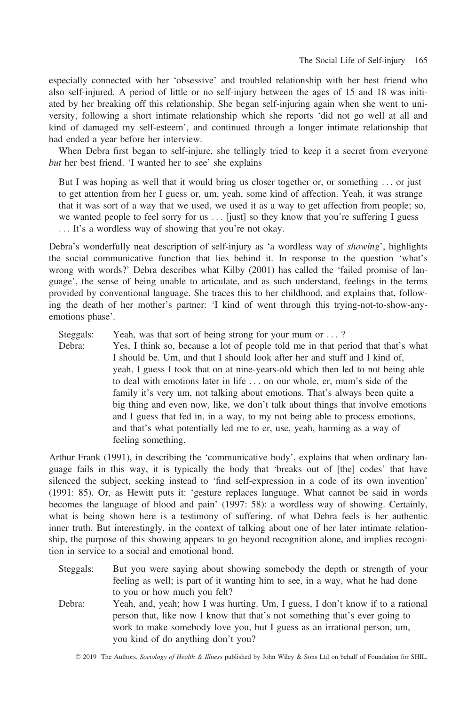especially connected with her 'obsessive' and troubled relationship with her best friend who also self-injured. A period of little or no self-injury between the ages of 15 and 18 was initiated by her breaking off this relationship. She began self-injuring again when she went to university, following a short intimate relationship which she reports 'did not go well at all and kind of damaged my self-esteem', and continued through a longer intimate relationship that had ended a year before her interview.

When Debra first began to self-injure, she tellingly tried to keep it a secret from everyone but her best friend. 'I wanted her to see' she explains

But I was hoping as well that it would bring us closer together or, or something ... or just to get attention from her I guess or, um, yeah, some kind of affection. Yeah, it was strange that it was sort of a way that we used, we used it as a way to get affection from people; so, we wanted people to feel sorry for us ... [just] so they know that you're suffering I guess ... It's a wordless way of showing that you're not okay.

Debra's wonderfully neat description of self-injury as 'a wordless way of *showing*', highlights the social communicative function that lies behind it. In response to the question 'what's wrong with words?' Debra describes what Kilby (2001) has called the 'failed promise of language', the sense of being unable to articulate, and as such understand, feelings in the terms provided by conventional language. She traces this to her childhood, and explains that, following the death of her mother's partner: 'I kind of went through this trying-not-to-show-anyemotions phase'.

Steggals: Yeah, was that sort of being strong for your mum or ...?

Debra: Yes, I think so, because a lot of people told me in that period that that's what I should be. Um, and that I should look after her and stuff and I kind of, yeah, I guess I took that on at nine-years-old which then led to not being able to deal with emotions later in life ... on our whole, er, mum's side of the family it's very um, not talking about emotions. That's always been quite a big thing and even now, like, we don't talk about things that involve emotions and I guess that fed in, in a way, to my not being able to process emotions, and that's what potentially led me to er, use, yeah, harming as a way of feeling something.

Arthur Frank (1991), in describing the 'communicative body', explains that when ordinary language fails in this way, it is typically the body that 'breaks out of [the] codes' that have silenced the subject, seeking instead to 'find self-expression in a code of its own invention' (1991: 85). Or, as Hewitt puts it: 'gesture replaces language. What cannot be said in words becomes the language of blood and pain' (1997: 58): a wordless way of showing. Certainly, what is being shown here is a testimony of suffering, of what Debra feels is her authentic inner truth. But interestingly, in the context of talking about one of her later intimate relationship, the purpose of this showing appears to go beyond recognition alone, and implies recognition in service to a social and emotional bond.

- Steggals: But you were saying about showing somebody the depth or strength of your feeling as well; is part of it wanting him to see, in a way, what he had done to you or how much you felt?
- Debra: Yeah, and, yeah; how I was hurting. Um, I guess, I don't know if to a rational person that, like now I know that that's not something that's ever going to work to make somebody love you, but I guess as an irrational person, um, you kind of do anything don't you?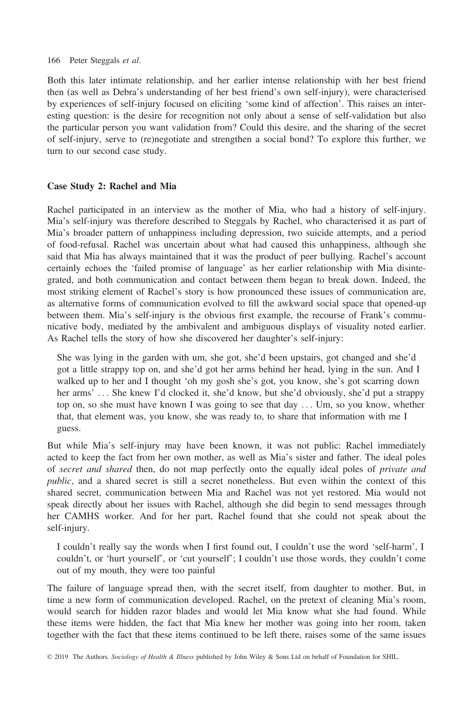Both this later intimate relationship, and her earlier intense relationship with her best friend then (as well as Debra's understanding of her best friend's own self-injury), were characterised by experiences of self-injury focused on eliciting 'some kind of affection'. This raises an interesting question: is the desire for recognition not only about a sense of self-validation but also the particular person you want validation from? Could this desire, and the sharing of the secret of self-injury, serve to (re)negotiate and strengthen a social bond? To explore this further, we turn to our second case study.

# Case Study 2: Rachel and Mia

Rachel participated in an interview as the mother of Mia, who had a history of self-injury. Mia's self-injury was therefore described to Steggals by Rachel, who characterised it as part of Mia's broader pattern of unhappiness including depression, two suicide attempts, and a period of food-refusal. Rachel was uncertain about what had caused this unhappiness, although she said that Mia has always maintained that it was the product of peer bullying. Rachel's account certainly echoes the 'failed promise of language' as her earlier relationship with Mia disintegrated, and both communication and contact between them began to break down. Indeed, the most striking element of Rachel's story is how pronounced these issues of communication are, as alternative forms of communication evolved to fill the awkward social space that opened-up between them. Mia's self-injury is the obvious first example, the recourse of Frank's communicative body, mediated by the ambivalent and ambiguous displays of visuality noted earlier. As Rachel tells the story of how she discovered her daughter's self-injury:

She was lying in the garden with um, she got, she'd been upstairs, got changed and she'd got a little strappy top on, and she'd got her arms behind her head, lying in the sun. And I walked up to her and I thought 'oh my gosh she's got, you know, she's got scarring down her arms' ... She knew I'd clocked it, she'd know, but she'd obviously, she'd put a strappy top on, so she must have known I was going to see that day ... Um, so you know, whether that, that element was, you know, she was ready to, to share that information with me I guess.

But while Mia's self-injury may have been known, it was not public: Rachel immediately acted to keep the fact from her own mother, as well as Mia's sister and father. The ideal poles of secret and shared then, do not map perfectly onto the equally ideal poles of private and public, and a shared secret is still a secret nonetheless. But even within the context of this shared secret, communication between Mia and Rachel was not yet restored. Mia would not speak directly about her issues with Rachel, although she did begin to send messages through her CAMHS worker. And for her part, Rachel found that she could not speak about the self-injury.

I couldn't really say the words when I first found out, I couldn't use the word 'self-harm', I couldn't, or 'hurt yourself', or 'cut yourself'; I couldn't use those words, they couldn't come out of my mouth, they were too painful

The failure of language spread then, with the secret itself, from daughter to mother. But, in time a new form of communication developed. Rachel, on the pretext of cleaning Mia's room, would search for hidden razor blades and would let Mia know what she had found. While these items were hidden, the fact that Mia knew her mother was going into her room, taken together with the fact that these items continued to be left there, raises some of the same issues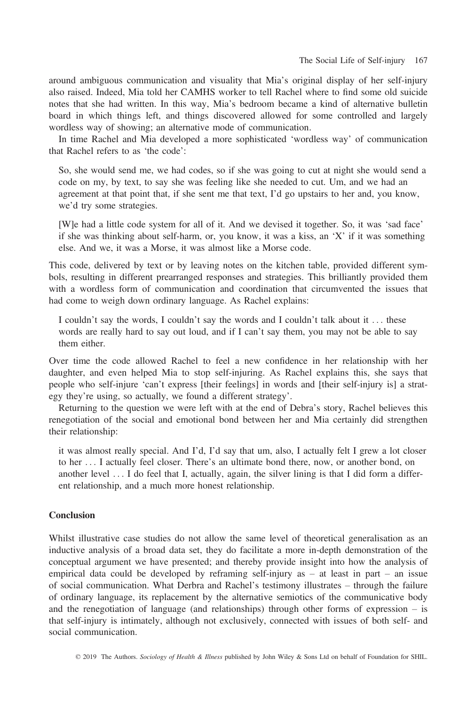around ambiguous communication and visuality that Mia's original display of her self-injury also raised. Indeed, Mia told her CAMHS worker to tell Rachel where to find some old suicide notes that she had written. In this way, Mia's bedroom became a kind of alternative bulletin board in which things left, and things discovered allowed for some controlled and largely wordless way of showing; an alternative mode of communication.

In time Rachel and Mia developed a more sophisticated 'wordless way' of communication that Rachel refers to as 'the code':

So, she would send me, we had codes, so if she was going to cut at night she would send a code on my, by text, to say she was feeling like she needed to cut. Um, and we had an agreement at that point that, if she sent me that text, I'd go upstairs to her and, you know, we'd try some strategies.

[W]e had a little code system for all of it. And we devised it together. So, it was 'sad face' if she was thinking about self-harm, or, you know, it was a kiss, an 'X' if it was something else. And we, it was a Morse, it was almost like a Morse code.

This code, delivered by text or by leaving notes on the kitchen table, provided different symbols, resulting in different prearranged responses and strategies. This brilliantly provided them with a wordless form of communication and coordination that circumvented the issues that had come to weigh down ordinary language. As Rachel explains:

I couldn't say the words, I couldn't say the words and I couldn't talk about it ... these words are really hard to say out loud, and if I can't say them, you may not be able to say them either.

Over time the code allowed Rachel to feel a new confidence in her relationship with her daughter, and even helped Mia to stop self-injuring. As Rachel explains this, she says that people who self-injure 'can't express [their feelings] in words and [their self-injury is] a strategy they're using, so actually, we found a different strategy'.

Returning to the question we were left with at the end of Debra's story, Rachel believes this renegotiation of the social and emotional bond between her and Mia certainly did strengthen their relationship:

it was almost really special. And I'd, I'd say that um, also, I actually felt I grew a lot closer to her ... I actually feel closer. There's an ultimate bond there, now, or another bond, on another level ... I do feel that I, actually, again, the silver lining is that I did form a different relationship, and a much more honest relationship.

# **Conclusion**

Whilst illustrative case studies do not allow the same level of theoretical generalisation as an inductive analysis of a broad data set, they do facilitate a more in-depth demonstration of the conceptual argument we have presented; and thereby provide insight into how the analysis of empirical data could be developed by reframing self-injury as  $-$  at least in part  $-$  an issue of social communication. What Derbra and Rachel's testimony illustrates – through the failure of ordinary language, its replacement by the alternative semiotics of the communicative body and the renegotiation of language (and relationships) through other forms of expression – is that self-injury is intimately, although not exclusively, connected with issues of both self- and social communication.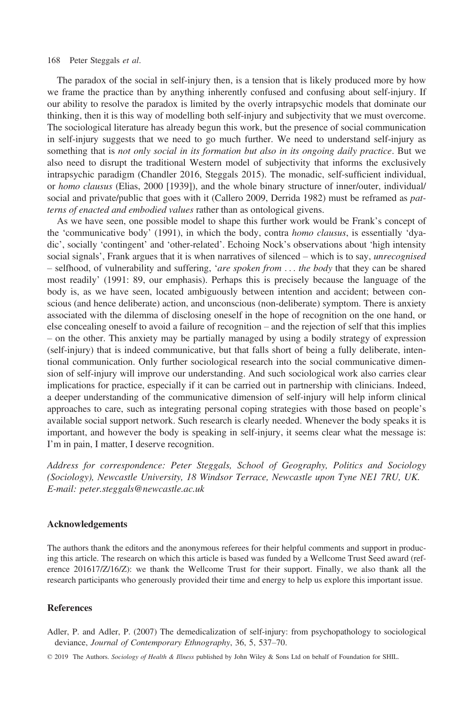The paradox of the social in self-injury then, is a tension that is likely produced more by how we frame the practice than by anything inherently confused and confusing about self-injury. If our ability to resolve the paradox is limited by the overly intrapsychic models that dominate our thinking, then it is this way of modelling both self-injury and subjectivity that we must overcome. The sociological literature has already begun this work, but the presence of social communication in self-injury suggests that we need to go much further. We need to understand self-injury as something that is not only social in its formation but also in its ongoing daily practice. But we also need to disrupt the traditional Western model of subjectivity that informs the exclusively intrapsychic paradigm (Chandler 2016, Steggals 2015). The monadic, self-sufficient individual, or homo clausus (Elias, 2000 [1939]), and the whole binary structure of inner/outer, individual/ social and private/public that goes with it (Callero 2009, Derrida 1982) must be reframed as *pat*terns of enacted and embodied values rather than as ontological givens.

As we have seen, one possible model to shape this further work would be Frank's concept of the 'communicative body' (1991), in which the body, contra homo clausus, is essentially 'dyadic', socially 'contingent' and 'other-related'. Echoing Nock's observations about 'high intensity social signals', Frank argues that it is when narratives of silenced – which is to say, *unrecognised* – selfhood, of vulnerability and suffering, 'are spoken from ... the body that they can be shared most readily' (1991: 89, our emphasis). Perhaps this is precisely because the language of the body is, as we have seen, located ambiguously between intention and accident; between conscious (and hence deliberate) action, and unconscious (non-deliberate) symptom. There is anxiety associated with the dilemma of disclosing oneself in the hope of recognition on the one hand, or else concealing oneself to avoid a failure of recognition – and the rejection of self that this implies – on the other. This anxiety may be partially managed by using a bodily strategy of expression (self-injury) that is indeed communicative, but that falls short of being a fully deliberate, intentional communication. Only further sociological research into the social communicative dimension of self-injury will improve our understanding. And such sociological work also carries clear implications for practice, especially if it can be carried out in partnership with clinicians. Indeed, a deeper understanding of the communicative dimension of self-injury will help inform clinical approaches to care, such as integrating personal coping strategies with those based on people's available social support network. Such research is clearly needed. Whenever the body speaks it is important, and however the body is speaking in self-injury, it seems clear what the message is: I'm in pain, I matter, I deserve recognition.

Address for correspondence: Peter Steggals, School of Geography, Politics and Sociology (Sociology), Newcastle University, 18 Windsor Terrace, Newcastle upon Tyne NE1 7RU, UK. E-mail: [peter.steggals@newcastle.ac.uk](mailto:)

#### Acknowledgements

The authors thank the editors and the anonymous referees for their helpful comments and support in producing this article. The research on which this article is based was funded by a Wellcome Trust Seed award (reference 201617/Z/16/Z): we thank the Wellcome Trust for their support. Finally, we also thank all the research participants who generously provided their time and energy to help us explore this important issue.

## References

Adler, P. and Adler, P. (2007) The demedicalization of self-injury: from psychopathology to sociological deviance, Journal of Contemporary Ethnography, 36, 5, 537–70.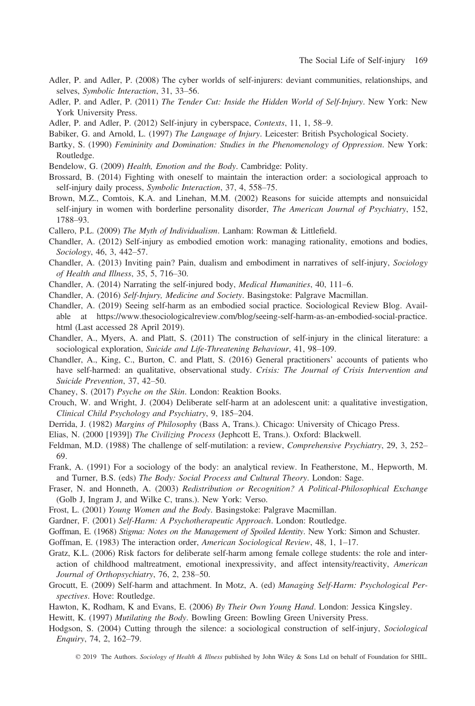- Adler, P. and Adler, P. (2008) The cyber worlds of self-injurers: deviant communities, relationships, and selves, Symbolic Interaction, 31, 33–56.
- Adler, P. and Adler, P. (2011) The Tender Cut: Inside the Hidden World of Self-Injury. New York: New York University Press.
- Adler, P. and Adler, P. (2012) Self-injury in cyberspace, Contexts, 11, 1, 58–9.

Babiker, G. and Arnold, L. (1997) The Language of Injury. Leicester: British Psychological Society.

- Bartky, S. (1990) Femininity and Domination: Studies in the Phenomenology of Oppression. New York: Routledge.
- Bendelow, G. (2009) Health, Emotion and the Body. Cambridge: Polity.
- Brossard, B. (2014) Fighting with oneself to maintain the interaction order: a sociological approach to self-injury daily process, *Symbolic Interaction*, 37, 4, 558–75.
- Brown, M.Z., Comtois, K.A. and Linehan, M.M. (2002) Reasons for suicide attempts and nonsuicidal self-injury in women with borderline personality disorder, The American Journal of Psychiatry, 152, 1788–93.
- Callero, P.L. (2009) The Myth of Individualism. Lanham: Rowman & Littlefield.
- Chandler, A. (2012) Self-injury as embodied emotion work: managing rationality, emotions and bodies, Sociology, 46, 3, 442–57.
- Chandler, A. (2013) Inviting pain? Pain, dualism and embodiment in narratives of self-injury, Sociology of Health and Illness, 35, 5, 716–30.
- Chandler, A. (2014) Narrating the self-injured body, Medical Humanities, 40, 111–6.
- Chandler, A. (2016) Self-Injury, Medicine and Society. Basingstoke: Palgrave Macmillan.
- Chandler, A. (2019) Seeing self-harm as an embodied social practice. Sociological Review Blog. Available at [https://www.thesociologicalreview.com/blog/seeing-self-harm-as-an-embodied-social-practice.](https://www.thesociologicalreview.com/blog/seeing-self-harm-as-an-embodied-social-practice.html) [html](https://www.thesociologicalreview.com/blog/seeing-self-harm-as-an-embodied-social-practice.html) (Last accessed 28 April 2019).
- Chandler, A., Myers, A. and Platt, S. (2011) The construction of self-injury in the clinical literature: a sociological exploration, Suicide and Life-Threatening Behaviour, 41, 98–109.
- Chandler, A., King, C., Burton, C. and Platt, S. (2016) General practitioners' accounts of patients who have self-harmed: an qualitative, observational study. Crisis: The Journal of Crisis Intervention and Suicide Prevention, 37, 42–50.
- Chaney, S. (2017) Psyche on the Skin. London: Reaktion Books.
- Crouch, W. and Wright, J. (2004) Deliberate self-harm at an adolescent unit: a qualitative investigation, Clinical Child Psychology and Psychiatry, 9, 185–204.
- Derrida, J. (1982) Margins of Philosophy (Bass A, Trans.). Chicago: University of Chicago Press.
- Elias, N. (2000 [1939]) The Civilizing Process (Jephcott E, Trans.). Oxford: Blackwell.
- Feldman, M.D. (1988) The challenge of self-mutilation: a review, Comprehensive Psychiatry, 29, 3, 252– 69.
- Frank, A. (1991) For a sociology of the body: an analytical review. In Featherstone, M., Hepworth, M. and Turner, B.S. (eds) The Body: Social Process and Cultural Theory. London: Sage.
- Fraser, N. and Honneth, A. (2003) Redistribution or Recognition? A Political-Philosophical Exchange (Golb J, Ingram J, and Wilke C, trans.). New York: Verso.
- Frost, L. (2001) Young Women and the Body. Basingstoke: Palgrave Macmillan.
- Gardner, F. (2001) Self-Harm: A Psychotherapeutic Approach. London: Routledge.
- Goffman, E. (1968) Stigma: Notes on the Management of Spoiled Identity. New York: Simon and Schuster.
- Goffman, E. (1983) The interaction order, American Sociological Review, 48, 1, 1–17.
- Gratz, K.L. (2006) Risk factors for deliberate self-harm among female college students: the role and interaction of childhood maltreatment, emotional inexpressivity, and affect intensity/reactivity, American Journal of Orthopsychiatry, 76, 2, 238–50.
- Grocutt, E. (2009) Self-harm and attachment. In Motz, A. (ed) Managing Self-Harm: Psychological Perspectives. Hove: Routledge.
- Hawton, K, Rodham, K and Evans, E. (2006) By Their Own Young Hand. London: Jessica Kingsley.
- Hewitt, K. (1997) Mutilating the Body. Bowling Green: Bowling Green University Press.
- Hodgson, S. (2004) Cutting through the silence: a sociological construction of self-injury, Sociological Enquiry, 74, 2, 162–79.